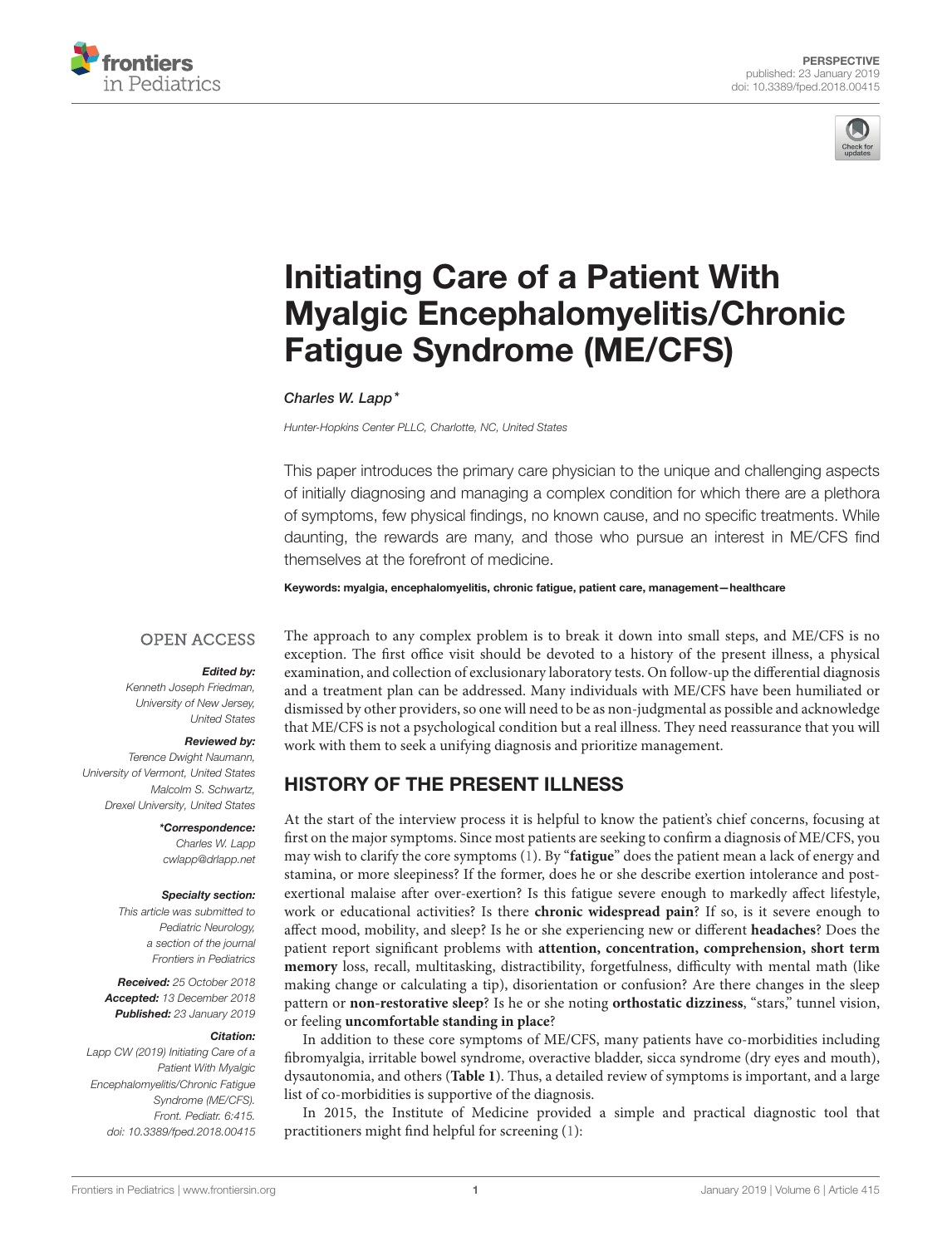



# Initiating Care of a Patient With [Myalgic Encephalomyelitis/Chronic](https://www.frontiersin.org/articles/10.3389/fped.2018.00415/full) Fatigue Syndrome (ME/CFS)

[Charles W. Lapp\\*](http://loop.frontiersin.org/people/631105/overview)

*Hunter-Hopkins Center PLLC, Charlotte, NC, United States*

This paper introduces the primary care physician to the unique and challenging aspects of initially diagnosing and managing a complex condition for which there are a plethora of symptoms, few physical findings, no known cause, and no specific treatments. While daunting, the rewards are many, and those who pursue an interest in ME/CFS find themselves at the forefront of medicine.

Keywords: myalgia, encephalomyelitis, chronic fatigue, patient care, management—healthcare

### **OPEN ACCESS**

#### Edited by:

*Kenneth Joseph Friedman, University of New Jersey, United States*

#### Reviewed by:

*Terence Dwight Naumann, University of Vermont, United States Malcolm S. Schwartz, Drexel University, United States*

> \*Correspondence: *Charles W. Lapp [cwlapp@drlapp.net](mailto:cwlapp@drlapp.net)*

#### Specialty section:

*This article was submitted to Pediatric Neurology, a section of the journal Frontiers in Pediatrics*

Received: *25 October 2018* Accepted: *13 December 2018* Published: *23 January 2019*

#### Citation:

*Lapp CW (2019) Initiating Care of a Patient With Myalgic Encephalomyelitis/Chronic Fatigue Syndrome (ME/CFS). Front. Pediatr. 6:415. doi: [10.3389/fped.2018.00415](https://doi.org/10.3389/fped.2018.00415)* The approach to any complex problem is to break it down into small steps, and ME/CFS is no exception. The first office visit should be devoted to a history of the present illness, a physical examination, and collection of exclusionary laboratory tests. On follow-up the differential diagnosis and a treatment plan can be addressed. Many individuals with ME/CFS have been humiliated or dismissed by other providers, so one will need to be as non-judgmental as possible and acknowledge that ME/CFS is not a psychological condition but a real illness. They need reassurance that you will work with them to seek a unifying diagnosis and prioritize management.

# HISTORY OF THE PRESENT ILLNESS

At the start of the interview process it is helpful to know the patient's chief concerns, focusing at first on the major symptoms. Since most patients are seeking to confirm a diagnosis of ME/CFS, you may wish to clarify the core symptoms [\(1\)](#page-4-0). By "**fatigue**" does the patient mean a lack of energy and stamina, or more sleepiness? If the former, does he or she describe exertion intolerance and postexertional malaise after over-exertion? Is this fatigue severe enough to markedly affect lifestyle, work or educational activities? Is there **chronic widespread pain**? If so, is it severe enough to affect mood, mobility, and sleep? Is he or she experiencing new or different **headaches**? Does the patient report significant problems with **attention, concentration, comprehension, short term memory** loss, recall, multitasking, distractibility, forgetfulness, difficulty with mental math (like making change or calculating a tip), disorientation or confusion? Are there changes in the sleep pattern or **non-restorative sleep**? Is he or she noting **orthostatic dizziness**, "stars," tunnel vision, or feeling **uncomfortable standing in place**?

In addition to these core symptoms of ME/CFS, many patients have co-morbidities including fibromyalgia, irritable bowel syndrome, overactive bladder, sicca syndrome (dry eyes and mouth), dysautonomia, and others (**[Table 1](#page-1-0)**). Thus, a detailed review of symptoms is important, and a large list of co-morbidities is supportive of the diagnosis.

In 2015, the Institute of Medicine provided a simple and practical diagnostic tool that practitioners might find helpful for screening [\(1\)](#page-4-0):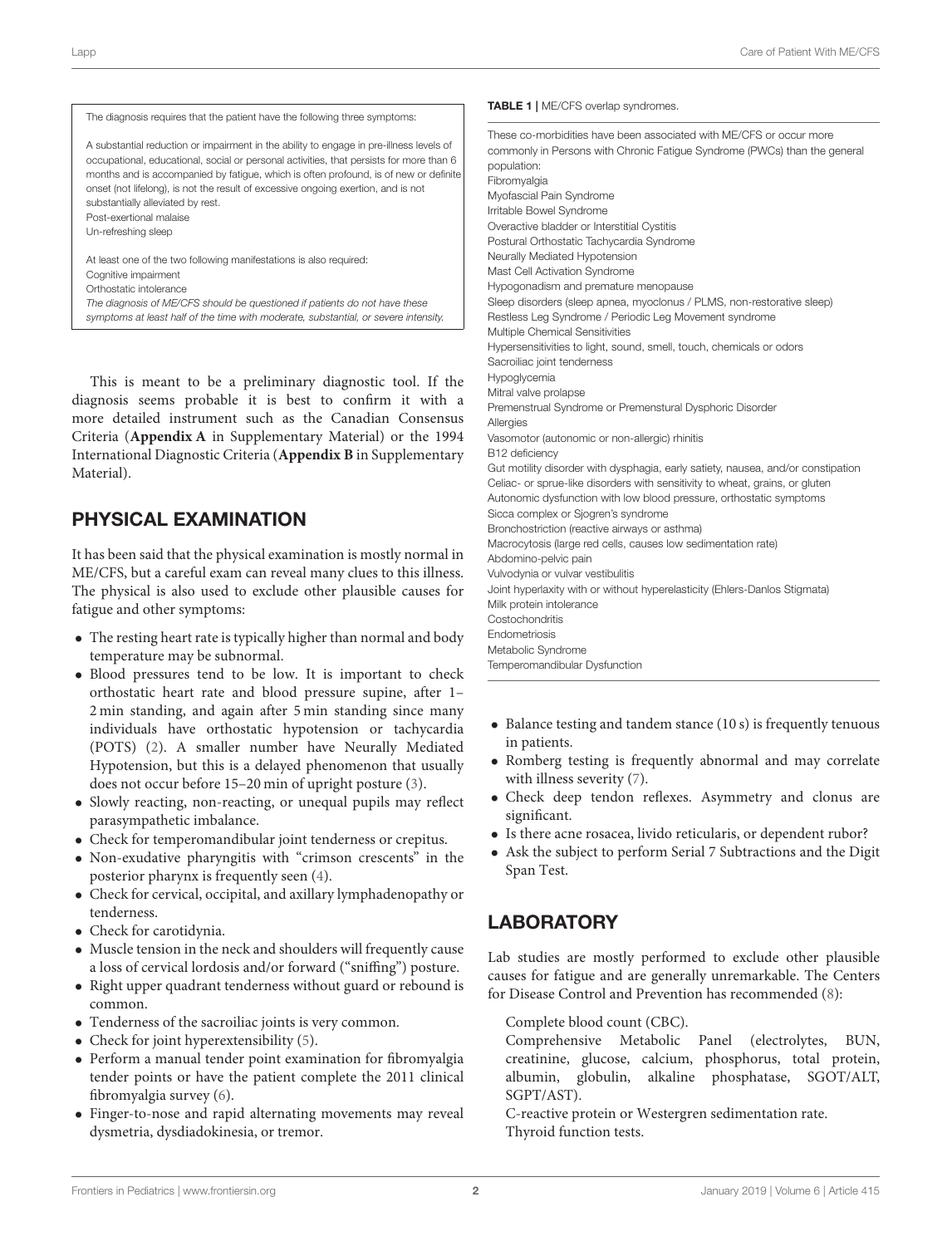| The diagnosis requires that the patient have the following three symptoms:                                                                                                      | <b>TABL</b>      |
|---------------------------------------------------------------------------------------------------------------------------------------------------------------------------------|------------------|
|                                                                                                                                                                                 | These            |
| A substantial reduction or impairment in the ability to engage in pre-illness levels of                                                                                         | comn             |
| occupational, educational, social or personal activities, that persists for more than 6<br>months and is accompanied by fatigue, which is often profound, is of new or definite | popul            |
| onset (not lifelong), is not the result of excessive ongoing exertion, and is not                                                                                               | Fibror           |
| substantially alleviated by rest.                                                                                                                                               | Myofa<br>Irritab |
| Post-exertional malaise                                                                                                                                                         | Overa            |
| Un-refreshing sleep                                                                                                                                                             | Postu            |
| At least one of the two following manifestations is also required:                                                                                                              | Neura            |
| Cognitive impairment                                                                                                                                                            | Mast             |
| Orthostatic intolerance                                                                                                                                                         | <b>Hypo</b>      |
| The diagnosis of ME/CFS should be questioned if patients do not have these                                                                                                      | Sleep            |
| symptoms at least half of the time with moderate, substantial, or severe intensity.                                                                                             | Restle           |
|                                                                                                                                                                                 | Multip           |

This is meant to be a preliminary diagnostic tool. If the diagnosis seems probable it is best to confirm it with a more detailed instrument such as the Canadian Consensus Criteria (**[Appendix A](#page-4-1)** in Supplementary Material) or the 1994 International Diagnostic Criteria (**[Appendix B](#page-4-1)** in Supplementary Material).

# PHYSICAL EXAMINATION

It has been said that the physical examination is mostly normal in ME/CFS, but a careful exam can reveal many clues to this illness. The physical is also used to exclude other plausible causes for fatigue and other symptoms:

- The resting heart rate is typically higher than normal and body temperature may be subnormal.
- Blood pressures tend to be low. It is important to check orthostatic heart rate and blood pressure supine, after 1– 2 min standing, and again after 5 min standing since many individuals have orthostatic hypotension or tachycardia (POTS) [\(2\)](#page-4-2). A smaller number have Neurally Mediated Hypotension, but this is a delayed phenomenon that usually does not occur before 15–20 min of upright posture [\(3\)](#page-4-3).
- Slowly reacting, non-reacting, or unequal pupils may reflect parasympathetic imbalance.
- Check for temperomandibular joint tenderness or crepitus.
- Non-exudative pharyngitis with "crimson crescents" in the posterior pharynx is frequently seen [\(4\)](#page-4-4).
- Check for cervical, occipital, and axillary lymphadenopathy or tenderness.
- Check for carotidynia.
- Muscle tension in the neck and shoulders will frequently cause a loss of cervical lordosis and/or forward ("sniffing") posture.
- Right upper quadrant tenderness without guard or rebound is common.
- Tenderness of the sacroiliac joints is very common.
- Check for joint hyperextensibility [\(5\)](#page-4-5).
- Perform a manual tender point examination for fibromyalgia tender points or have the patient complete the 2011 clinical fibromyalgia survey [\(6\)](#page-4-6).
- Finger-to-nose and rapid alternating movements may reveal dysmetria, dysdiadokinesia, or tremor.

<span id="page-1-0"></span>LE 1 | ME/CFS overlap syndromes.

| These co-morbidities have been associated with ME/CFS or occur more<br>commonly in Persons with Chronic Fatigue Syndrome (PWCs) than the general<br>population:  |
|------------------------------------------------------------------------------------------------------------------------------------------------------------------|
| Fibromyalgia                                                                                                                                                     |
| Myofascial Pain Syndrome                                                                                                                                         |
| Irritable Bowel Syndrome                                                                                                                                         |
| Overactive bladder or Interstitial Cystitis                                                                                                                      |
| Postural Orthostatic Tachycardia Syndrome                                                                                                                        |
| Neurally Mediated Hypotension                                                                                                                                    |
| Mast Cell Activation Syndrome                                                                                                                                    |
| Hypogonadism and premature menopause                                                                                                                             |
| Sleep disorders (sleep apnea, myoclonus / PLMS, non-restorative sleep)                                                                                           |
| Restless Leg Syndrome / Periodic Leg Movement syndrome                                                                                                           |
| Multiple Chemical Sensitivities                                                                                                                                  |
| Hypersensitivities to light, sound, smell, touch, chemicals or odors                                                                                             |
| Sacroiliac joint tenderness                                                                                                                                      |
| Hypoglycemia                                                                                                                                                     |
| Mitral valve prolapse                                                                                                                                            |
| Premenstrual Syndrome or Premenstural Dysphoric Disorder                                                                                                         |
| Allergies                                                                                                                                                        |
| Vasomotor (autonomic or non-allergic) rhinitis                                                                                                                   |
| B12 deficiency                                                                                                                                                   |
| Gut motility disorder with dysphagia, early satiety, nausea, and/or constipation<br>Celiac- or sprue-like disorders with sensitivity to wheat, grains, or gluten |
| Autonomic dysfunction with low blood pressure, orthostatic symptoms                                                                                              |
| Sicca complex or Sjogren's syndrome                                                                                                                              |
| Bronchostriction (reactive airways or asthma)                                                                                                                    |
| Macrocytosis (large red cells, causes low sedimentation rate)                                                                                                    |
| Abdomino-pelvic pain                                                                                                                                             |
| Vulvodynia or vulvar vestibulitis                                                                                                                                |
| Joint hyperlaxity with or without hyperelasticity (Ehlers-Danlos Stigmata)                                                                                       |
| Milk protein intolerance                                                                                                                                         |
| Costochondritis                                                                                                                                                  |
| Endometriosis                                                                                                                                                    |
| Metabolic Syndrome                                                                                                                                               |
| Temperomandibular Dysfunction                                                                                                                                    |

- Balance testing and tandem stance (10 s) is frequently tenuous in patients.
- Romberg testing is frequently abnormal and may correlate with illness severity [\(7\)](#page-4-7).
- Check deep tendon reflexes. Asymmetry and clonus are significant.
- Is there acne rosacea, livido reticularis, or dependent rubor?
- Ask the subject to perform Serial 7 Subtractions and the Digit Span Test.

# LABORATORY

Lab studies are mostly performed to exclude other plausible causes for fatigue and are generally unremarkable. The Centers for Disease Control and Prevention has recommended [\(8\)](#page-4-8):

Complete blood count (CBC).

Comprehensive Metabolic Panel (electrolytes, BUN, creatinine, glucose, calcium, phosphorus, total protein, albumin, globulin, alkaline phosphatase, SGOT/ALT, SGPT/AST).

C-reactive protein or Westergren sedimentation rate. Thyroid function tests.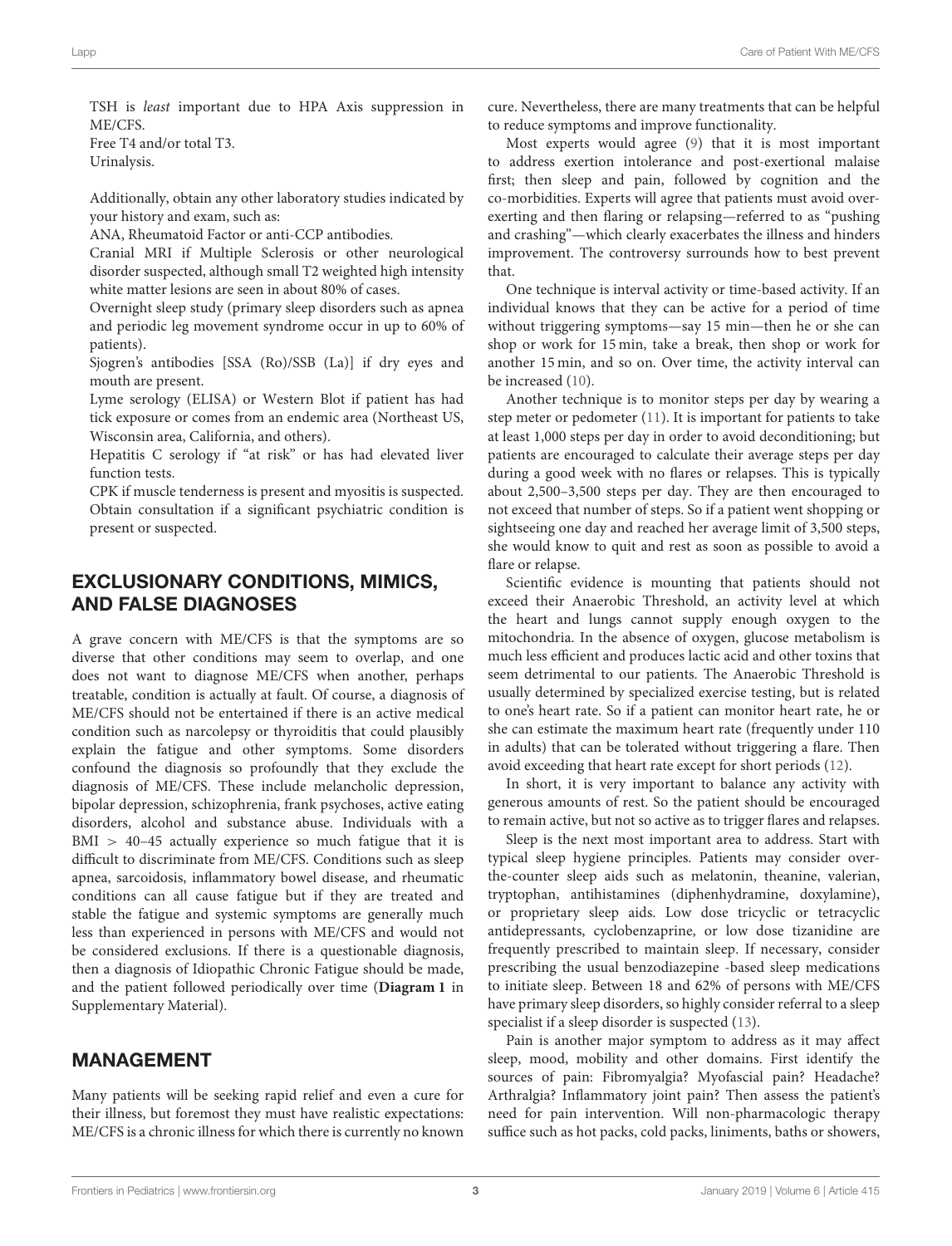TSH is least important due to HPA Axis suppression in ME/CFS.

Free T4 and/or total T3. Urinalysis.

Additionally, obtain any other laboratory studies indicated by your history and exam, such as:

ANA, Rheumatoid Factor or anti-CCP antibodies.

Cranial MRI if Multiple Sclerosis or other neurological disorder suspected, although small T2 weighted high intensity white matter lesions are seen in about 80% of cases.

Overnight sleep study (primary sleep disorders such as apnea and periodic leg movement syndrome occur in up to 60% of patients).

Sjogren's antibodies [SSA (Ro)/SSB (La)] if dry eyes and mouth are present.

Lyme serology (ELISA) or Western Blot if patient has had tick exposure or comes from an endemic area (Northeast US, Wisconsin area, California, and others).

Hepatitis C serology if "at risk" or has had elevated liver function tests.

CPK if muscle tenderness is present and myositis is suspected. Obtain consultation if a significant psychiatric condition is present or suspected.

# EXCLUSIONARY CONDITIONS, MIMICS, AND FALSE DIAGNOSES

A grave concern with ME/CFS is that the symptoms are so diverse that other conditions may seem to overlap, and one does not want to diagnose ME/CFS when another, perhaps treatable, condition is actually at fault. Of course, a diagnosis of ME/CFS should not be entertained if there is an active medical condition such as narcolepsy or thyroiditis that could plausibly explain the fatigue and other symptoms. Some disorders confound the diagnosis so profoundly that they exclude the diagnosis of ME/CFS. These include melancholic depression, bipolar depression, schizophrenia, frank psychoses, active eating disorders, alcohol and substance abuse. Individuals with a  $BMI > 40-45$  actually experience so much fatigue that it is difficult to discriminate from ME/CFS. Conditions such as sleep apnea, sarcoidosis, inflammatory bowel disease, and rheumatic conditions can all cause fatigue but if they are treated and stable the fatigue and systemic symptoms are generally much less than experienced in persons with ME/CFS and would not be considered exclusions. If there is a questionable diagnosis, then a diagnosis of Idiopathic Chronic Fatigue should be made, and the patient followed periodically over time (**[Diagram 1](#page-4-1)** in Supplementary Material).

# MANAGEMENT

Many patients will be seeking rapid relief and even a cure for their illness, but foremost they must have realistic expectations: ME/CFS is a chronic illness for which there is currently no known cure. Nevertheless, there are many treatments that can be helpful to reduce symptoms and improve functionality.

Most experts would agree [\(9\)](#page-4-9) that it is most important to address exertion intolerance and post-exertional malaise first; then sleep and pain, followed by cognition and the co-morbidities. Experts will agree that patients must avoid overexerting and then flaring or relapsing—referred to as "pushing and crashing"—which clearly exacerbates the illness and hinders improvement. The controversy surrounds how to best prevent that.

One technique is interval activity or time-based activity. If an individual knows that they can be active for a period of time without triggering symptoms—say 15 min—then he or she can shop or work for 15 min, take a break, then shop or work for another 15 min, and so on. Over time, the activity interval can be increased [\(10\)](#page-4-10).

Another technique is to monitor steps per day by wearing a step meter or pedometer [\(11\)](#page-4-11). It is important for patients to take at least 1,000 steps per day in order to avoid deconditioning; but patients are encouraged to calculate their average steps per day during a good week with no flares or relapses. This is typically about 2,500–3,500 steps per day. They are then encouraged to not exceed that number of steps. So if a patient went shopping or sightseeing one day and reached her average limit of 3,500 steps, she would know to quit and rest as soon as possible to avoid a flare or relapse.

Scientific evidence is mounting that patients should not exceed their Anaerobic Threshold, an activity level at which the heart and lungs cannot supply enough oxygen to the mitochondria. In the absence of oxygen, glucose metabolism is much less efficient and produces lactic acid and other toxins that seem detrimental to our patients. The Anaerobic Threshold is usually determined by specialized exercise testing, but is related to one's heart rate. So if a patient can monitor heart rate, he or she can estimate the maximum heart rate (frequently under 110 in adults) that can be tolerated without triggering a flare. Then avoid exceeding that heart rate except for short periods [\(12\)](#page-4-12).

In short, it is very important to balance any activity with generous amounts of rest. So the patient should be encouraged to remain active, but not so active as to trigger flares and relapses.

Sleep is the next most important area to address. Start with typical sleep hygiene principles. Patients may consider overthe-counter sleep aids such as melatonin, theanine, valerian, tryptophan, antihistamines (diphenhydramine, doxylamine), or proprietary sleep aids. Low dose tricyclic or tetracyclic antidepressants, cyclobenzaprine, or low dose tizanidine are frequently prescribed to maintain sleep. If necessary, consider prescribing the usual benzodiazepine -based sleep medications to initiate sleep. Between 18 and 62% of persons with ME/CFS have primary sleep disorders, so highly consider referral to a sleep specialist if a sleep disorder is suspected [\(13\)](#page-4-13).

Pain is another major symptom to address as it may affect sleep, mood, mobility and other domains. First identify the sources of pain: Fibromyalgia? Myofascial pain? Headache? Arthralgia? Inflammatory joint pain? Then assess the patient's need for pain intervention. Will non-pharmacologic therapy suffice such as hot packs, cold packs, liniments, baths or showers,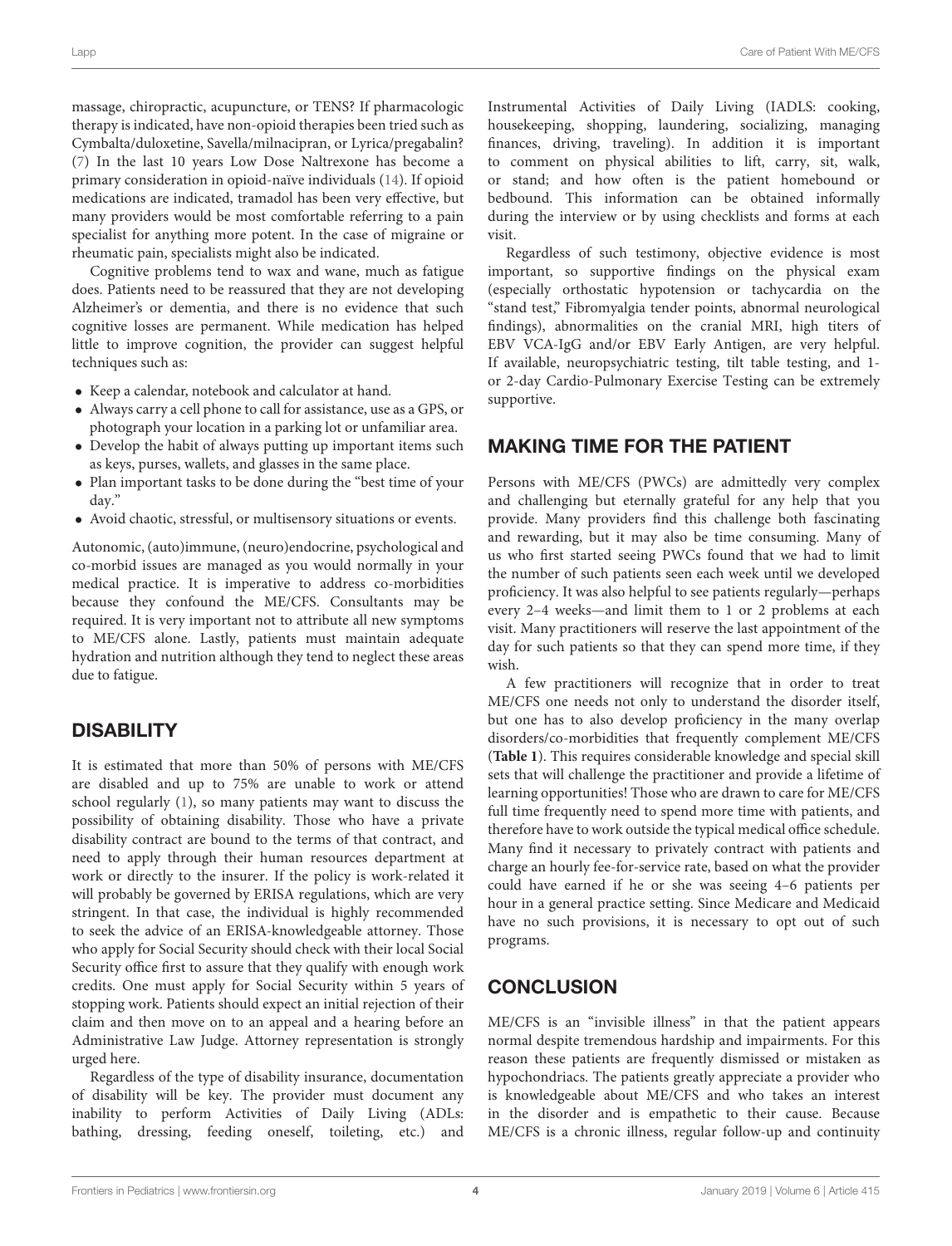massage, chiropractic, acupuncture, or TENS? If pharmacologic therapy is indicated, have non-opioid therapies been tried such as Cymbalta/duloxetine, Savella/milnacipran, or Lyrica/pregabalin? [\(7\)](#page-4-7) In the last 10 years Low Dose Naltrexone has become a primary consideration in opioid-naïve individuals [\(14\)](#page-4-14). If opioid medications are indicated, tramadol has been very effective, but many providers would be most comfortable referring to a pain specialist for anything more potent. In the case of migraine or rheumatic pain, specialists might also be indicated.

Cognitive problems tend to wax and wane, much as fatigue does. Patients need to be reassured that they are not developing Alzheimer's or dementia, and there is no evidence that such cognitive losses are permanent. While medication has helped little to improve cognition, the provider can suggest helpful techniques such as:

- Keep a calendar, notebook and calculator at hand.
- Always carry a cell phone to call for assistance, use as a GPS, or photograph your location in a parking lot or unfamiliar area.
- Develop the habit of always putting up important items such as keys, purses, wallets, and glasses in the same place.
- Plan important tasks to be done during the "best time of your day."
- Avoid chaotic, stressful, or multisensory situations or events.

Autonomic, (auto)immune, (neuro)endocrine, psychological and co-morbid issues are managed as you would normally in your medical practice. It is imperative to address co-morbidities because they confound the ME/CFS. Consultants may be required. It is very important not to attribute all new symptoms to ME/CFS alone. Lastly, patients must maintain adequate hydration and nutrition although they tend to neglect these areas due to fatigue.

### **DISABILITY**

It is estimated that more than 50% of persons with ME/CFS are disabled and up to 75% are unable to work or attend school regularly [\(1\)](#page-4-0), so many patients may want to discuss the possibility of obtaining disability. Those who have a private disability contract are bound to the terms of that contract, and need to apply through their human resources department at work or directly to the insurer. If the policy is work-related it will probably be governed by ERISA regulations, which are very stringent. In that case, the individual is highly recommended to seek the advice of an ERISA-knowledgeable attorney. Those who apply for Social Security should check with their local Social Security office first to assure that they qualify with enough work credits. One must apply for Social Security within 5 years of stopping work. Patients should expect an initial rejection of their claim and then move on to an appeal and a hearing before an Administrative Law Judge. Attorney representation is strongly urged here.

Regardless of the type of disability insurance, documentation of disability will be key. The provider must document any inability to perform Activities of Daily Living (ADLs: bathing, dressing, feeding oneself, toileting, etc.) and Instrumental Activities of Daily Living (IADLS: cooking, housekeeping, shopping, laundering, socializing, managing finances, driving, traveling). In addition it is important to comment on physical abilities to lift, carry, sit, walk, or stand; and how often is the patient homebound or bedbound. This information can be obtained informally during the interview or by using checklists and forms at each visit.

Regardless of such testimony, objective evidence is most important, so supportive findings on the physical exam (especially orthostatic hypotension or tachycardia on the "stand test," Fibromyalgia tender points, abnormal neurological findings), abnormalities on the cranial MRI, high titers of EBV VCA-IgG and/or EBV Early Antigen, are very helpful. If available, neuropsychiatric testing, tilt table testing, and 1 or 2-day Cardio-Pulmonary Exercise Testing can be extremely supportive.

### MAKING TIME FOR THE PATIENT

Persons with ME/CFS (PWCs) are admittedly very complex and challenging but eternally grateful for any help that you provide. Many providers find this challenge both fascinating and rewarding, but it may also be time consuming. Many of us who first started seeing PWCs found that we had to limit the number of such patients seen each week until we developed proficiency. It was also helpful to see patients regularly—perhaps every 2–4 weeks—and limit them to 1 or 2 problems at each visit. Many practitioners will reserve the last appointment of the day for such patients so that they can spend more time, if they wish.

A few practitioners will recognize that in order to treat ME/CFS one needs not only to understand the disorder itself, but one has to also develop proficiency in the many overlap disorders/co-morbidities that frequently complement ME/CFS (**[Table 1](#page-1-0)**). This requires considerable knowledge and special skill sets that will challenge the practitioner and provide a lifetime of learning opportunities! Those who are drawn to care for ME/CFS full time frequently need to spend more time with patients, and therefore have to work outside the typical medical office schedule. Many find it necessary to privately contract with patients and charge an hourly fee-for-service rate, based on what the provider could have earned if he or she was seeing 4–6 patients per hour in a general practice setting. Since Medicare and Medicaid have no such provisions, it is necessary to opt out of such programs.

### **CONCLUSION**

ME/CFS is an "invisible illness" in that the patient appears normal despite tremendous hardship and impairments. For this reason these patients are frequently dismissed or mistaken as hypochondriacs. The patients greatly appreciate a provider who is knowledgeable about ME/CFS and who takes an interest in the disorder and is empathetic to their cause. Because ME/CFS is a chronic illness, regular follow-up and continuity